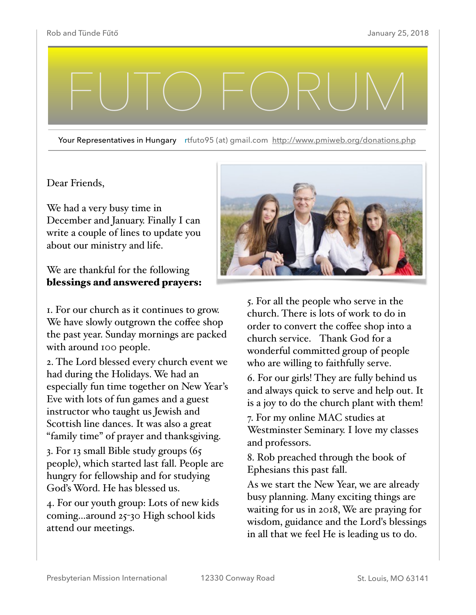## FUTO FORUM

Your Representatives in Hungary rtfuto95 (at) gmail.com <http://www.pmiweb.org/donations.php>

## Dear Friends,

We had a very busy time in December and January. Finally I can write a couple of lines to update you about our ministry and life.

We are thankful for the following blessings and answered prayers:

1. For our church as it continues to grow. We have slowly outgrown the coffee shop the past year. Sunday mornings are packed with around 100 people.

2. The Lord blessed every church event we had during the Holidays. We had an especially fun time together on New Year's Eve with lots of fun games and a guest instructor who taught us Jewish and Scottish line dances. It was also a great "family time" of prayer and thanksgiving.

3. For 13 small Bible study groups (65 people), which started last fall. People are hungry for fellowship and for studying God's Word. He has blessed us.

4. For our youth group: Lots of new kids coming…around 25-30 High school kids attend our meetings.



5. For all the people who serve in the church. There is lots of work to do in order to convert the coffee shop into a church service. Thank God for a wonderful committed group of people who are willing to faithfully serve.

6. For our girls! They are fully behind us and always quick to serve and help out. It is a joy to do the church plant with them!

7. For my online MAC studies at Westminster Seminary. I love my classes and professors.

8. Rob preached through the book of Ephesians this past fall.

As we start the New Year, we are already busy planning. Many exciting things are waiting for us in 2018, We are praying for wisdom, guidance and the Lord's blessings in all that we feel He is leading us to do.